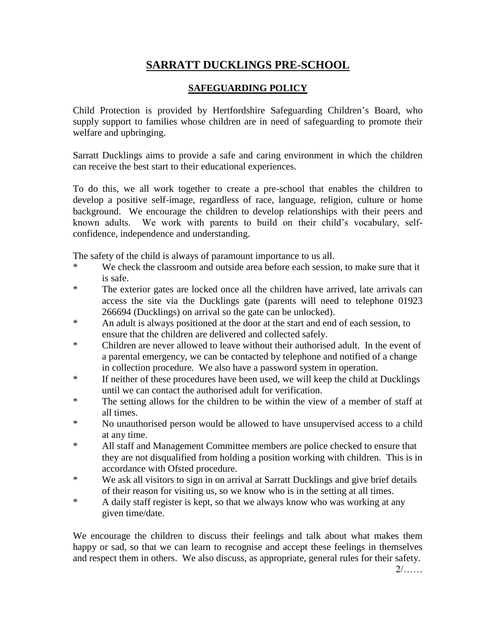## **SARRATT DUCKLINGS PRE-SCHOOL**

## **SAFEGUARDING POLICY**

Child Protection is provided by Hertfordshire Safeguarding Children's Board, who supply support to families whose children are in need of safeguarding to promote their welfare and upbringing.

Sarratt Ducklings aims to provide a safe and caring environment in which the children can receive the best start to their educational experiences.

To do this, we all work together to create a pre-school that enables the children to develop a positive self-image, regardless of race, language, religion, culture or home background. We encourage the children to develop relationships with their peers and known adults. We work with parents to build on their child's vocabulary, selfconfidence, independence and understanding.

The safety of the child is always of paramount importance to us all.

- \* We check the classroom and outside area before each session, to make sure that it is safe.
- \* The exterior gates are locked once all the children have arrived, late arrivals can access the site via the Ducklings gate (parents will need to telephone 01923 266694 (Ducklings) on arrival so the gate can be unlocked).
- \* An adult is always positioned at the door at the start and end of each session, to ensure that the children are delivered and collected safely.
- \* Children are never allowed to leave without their authorised adult. In the event of a parental emergency, we can be contacted by telephone and notified of a change in collection procedure. We also have a password system in operation.
- \* If neither of these procedures have been used, we will keep the child at Ducklings until we can contact the authorised adult for verification.
- \* The setting allows for the children to be within the view of a member of staff at all times.
- \* No unauthorised person would be allowed to have unsupervised access to a child at any time.
- \* All staff and Management Committee members are police checked to ensure that they are not disqualified from holding a position working with children. This is in accordance with Ofsted procedure.
- \* We ask all visitors to sign in on arrival at Sarratt Ducklings and give brief details of their reason for visiting us, so we know who is in the setting at all times.
- \* A daily staff register is kept, so that we always know who was working at any given time/date.

We encourage the children to discuss their feelings and talk about what makes them happy or sad, so that we can learn to recognise and accept these feelings in themselves and respect them in others. We also discuss, as appropriate, general rules for their safety.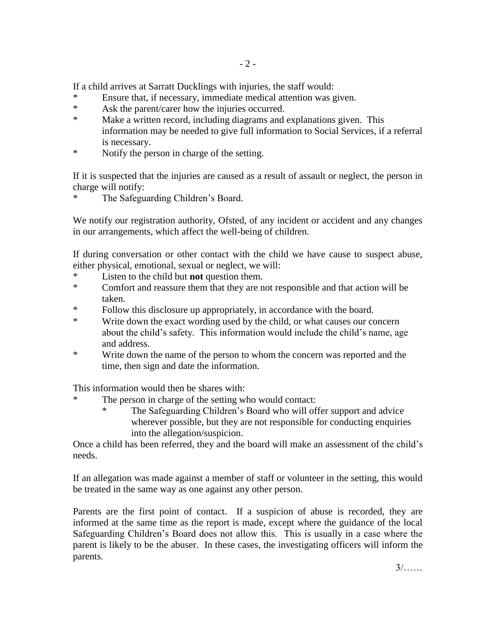If a child arrives at Sarratt Ducklings with injuries, the staff would:

- Ensure that, if necessary, immediate medical attention was given.
- \* Ask the parent/carer how the injuries occurred.
- \* Make a written record, including diagrams and explanations given. This information may be needed to give full information to Social Services, if a referral is necessary.
- \* Notify the person in charge of the setting.

If it is suspected that the injuries are caused as a result of assault or neglect, the person in charge will notify:

The Safeguarding Children's Board.

We notify our registration authority, Ofsted, of any incident or accident and any changes in our arrangements, which affect the well-being of children.

If during conversation or other contact with the child we have cause to suspect abuse, either physical, emotional, sexual or neglect, we will:

- \* Listen to the child but **not** question them.
- Comfort and reassure them that they are not responsible and that action will be taken.
- \* Follow this disclosure up appropriately, in accordance with the board.
- \* Write down the exact wording used by the child, or what causes our concern about the child's safety. This information would include the child's name, age and address.
- \* Write down the name of the person to whom the concern was reported and the time, then sign and date the information.

This information would then be shares with:

- The person in charge of the setting who would contact:
	- The Safeguarding Children's Board who will offer support and advice wherever possible, but they are not responsible for conducting enquiries into the allegation/suspicion.

Once a child has been referred, they and the board will make an assessment of the child's needs.

If an allegation was made against a member of staff or volunteer in the setting, this would be treated in the same way as one against any other person.

Parents are the first point of contact. If a suspicion of abuse is recorded, they are informed at the same time as the report is made, except where the guidance of the local Safeguarding Children's Board does not allow this. This is usually in a case where the parent is likely to be the abuser. In these cases, the investigating officers will inform the parents.